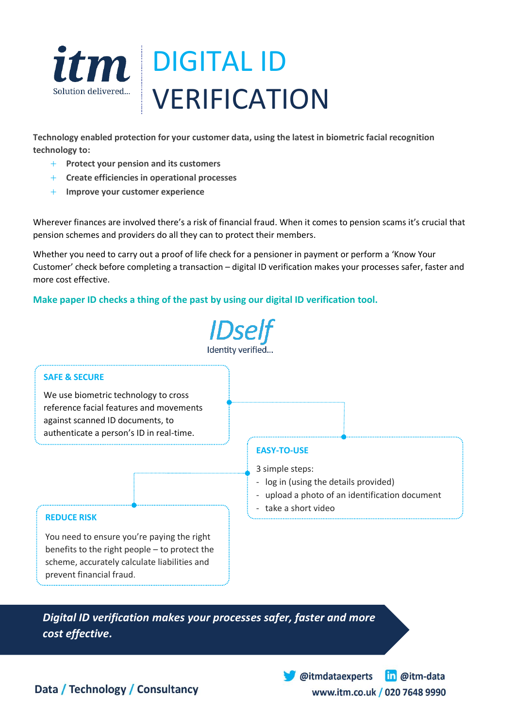

**Technology enabled protection for your customer data, using the latest in biometric facial recognition technology to:**

- **Protect your pension and its customers**
- **Create efficiencies in operational processes**
- **Improve your customer experience**

Wherever finances are involved there's a risk of financial fraud. When it comes to pension scams it's crucial that pension schemes and providers do all they can to protect their members.

Whether you need to carry out a proof of life check for a pensioner in payment or perform a 'Know Your Customer' check before completing a transaction – digital ID verification makes your processes safer, faster and more cost effective.

## **Make paper ID checks a thing of the past by using our digital ID verification tool.**



*Digital ID verification makes your processes safer, faster and more cost effective.*

> in @itm-data @itmdataexperts www.itm.co.uk / 020 7648 9990

Data / Technology / Consultancy